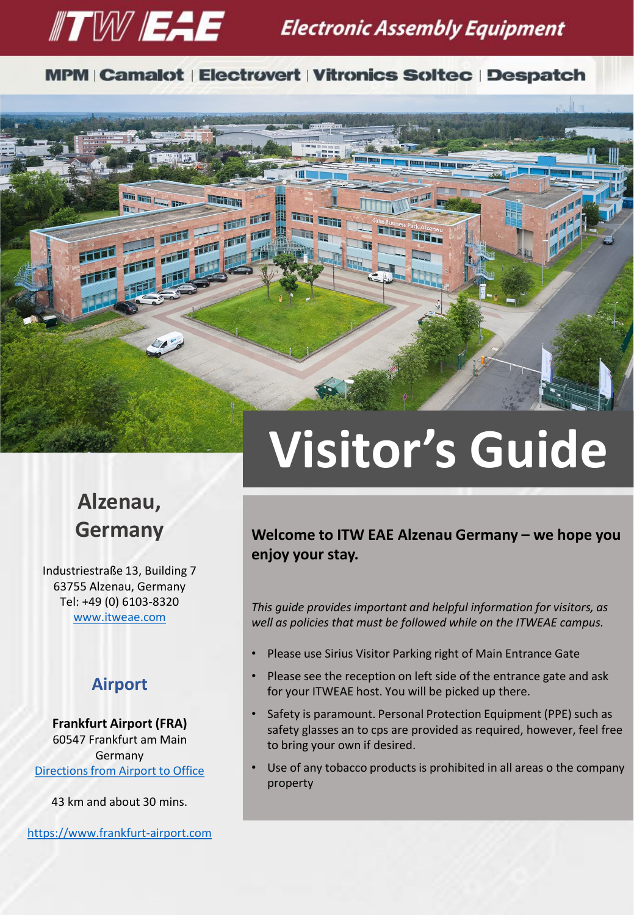

#### **MPM | Camalot | Electrovert | Vitronics Soltec | Despatch**

ini ji he

前面

再

 $\overline{1}$ 

画面

画型



画面

Industriestraße 13, Building 7 63755 Alzenau, Germany Tel: +49 (0) 6103-8320 [www.itweae.com](http://www.itweae.com/)

#### **Airport**

**Frankfurt Airport (FRA)** 60547 Frankfurt am Main Germany [Directions from Airport to Office](https://www.google.de/maps/dir/Frankfurt+Airport+(FRA),+60547+Frankfurt+am+Main,+Germany/Industriestra%C3%9Fe+13,+Alzenau/@50.061989,8.5301414,10z/data=!3m1!4b1!4m14!4m13!1m5!1m1!1s0x47bd0b745442f979:0x8a74d84d21f8f331!2m2!1d8.5621518!2d50.0379326!1m5!1m1!1s0x47bd3c3a04afe617:0xaf2081e108b2b70f!2m2!1d9.0482341!2d50.09329!3e0)

43 km and about 30 mins.

[https://www.frankfurt-airport.com](https://www.frankfurt-airport.com/en.html)

# **Visitor's Guide**

**Welcome to ITW EAE Alzenau Germany – we hope you enjoy your stay.**

*This guide provides important and helpful information for visitors, as well as policies that must be followed while on the ITWEAE campus.*

- Please use Sirius Visitor Parking right of Main Entrance Gate
- Please see the reception on left side of the entrance gate and ask for your ITWEAE host. You will be picked up there.
- Safety is paramount. Personal Protection Equipment (PPE) such as safety glasses an to cps are provided as required, however, feel free to bring your own if desired.
- Use of any tobacco products is prohibited in all areas o the company property